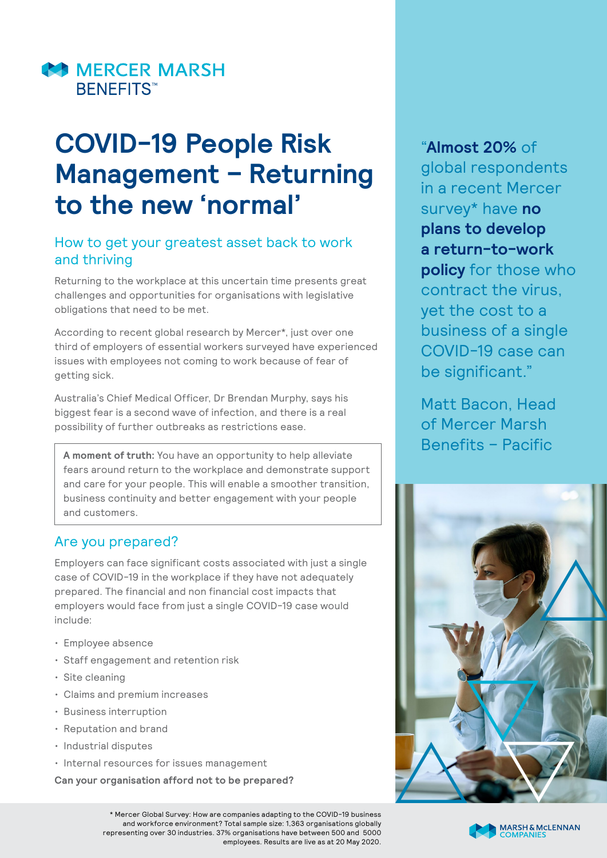

# **COVID-19 People Risk Management – Returning to the new 'normal'**

## How to get your greatest asset back to work and thriving

Returning to the workplace at this uncertain time presents great challenges and opportunities for organisations with legislative obligations that need to be met.

According to recent global research by Mercer\*, just over one third of employers of essential workers surveyed have experienced issues with employees not coming to work because of fear of getting sick.

Australia's Chief Medical Officer, Dr Brendan Murphy, says his biggest fear is a second wave of infection, and there is a real possibility of further outbreaks as restrictions ease.

**A moment of truth:** You have an opportunity to help alleviate fears around return to the workplace and demonstrate support and care for your people. This will enable a smoother transition, business continuity and better engagement with your people and customers.

## Are you prepared?

Employers can face significant costs associated with just a single case of COVID-19 in the workplace if they have not adequately prepared. The financial and non financial cost impacts that employers would face from just a single COVID-19 case would include:

- Employee absence
- Staff engagement and retention risk
- Site cleaning
- Claims and premium increases
- Business interruption
- Reputation and brand
- Industrial disputes
- Internal resources for issues management

**Can your organisation afford not to be prepared?**

\* Mercer Global Survey: How are companies adapting to the COVID-19 business and workforce environment? Total sample size: 1,363 organisations globally representing over 30 industries. 37% organisations have between 500 and 5000 employees. Results are live as at 20 May 2020. "**Almost 20%** of global respondents in a recent Mercer survey\* have **no plans to develop a return-to-work policy** for those who contract the virus, yet the cost to a business of a single COVID-19 case can be significant."

Matt Bacon, Head of Mercer Marsh Benefits – Pacific